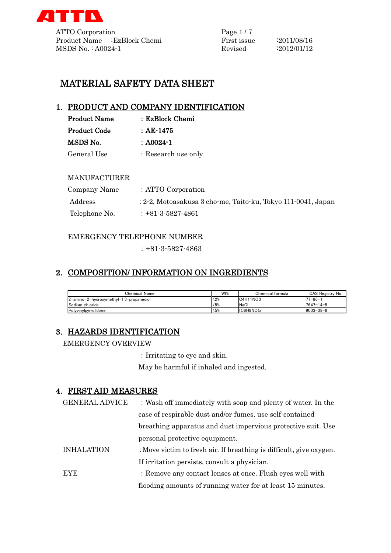

# MATERIAL SAFETY DATA SHEET

# 1. PRODUCT AND COMPANY IDENTIFICATION

| <b>Product Name</b> | : EzBlock Chemi     |
|---------------------|---------------------|
| <b>Product Code</b> | : AE-1475           |
| MSDS No.            | : A0024-1           |
| General Use         | : Research use only |

#### MANUFACTURER

| Company Name  | : ATTO Corporation                                           |
|---------------|--------------------------------------------------------------|
| Address       | : 2-2, Motoasakusa 3 cho-me, Taito-ku, Tokyo 111-0041, Japan |
| Telephone No. | $: +81 - 3 - 5827 - 4861$                                    |

#### EMERGENCY TELEPHONE NUMBER

 $: +81 - 3 - 5827 - 4863$ 

# 2. COMPOSITION/ INFORMATION ON INGREDIENTS

| Chemical Name                           | Wt%    | Chemical formula | CAS Registry No. |
|-----------------------------------------|--------|------------------|------------------|
| 2-amino-2-hydroxymethyl-1.3-propanediol | $<$ 2% | C4H11NO3         | $77 - 86 - 1$    |
| Sodium chloride                         | $<$ 5% | NaCl             | $7647 - 14 - 5$  |
| Polyvinylpyrrolidone                    | $<$ 5% | (C6H9NO)x        | $19003 - 39 - 8$ |

# 3. HAZARDS IDENTIFICATION

EMERGENCY OVERVIEW

:Irritating to eye and skin.

May be harmful if inhaled and ingested.

## 4. FIRST AID MEASURES

| <b>GENERAL ADVICE</b> | : Wash off immediately with soap and plenty of water. In the        |
|-----------------------|---------------------------------------------------------------------|
|                       | case of respirable dust and/or fumes, use self-contained            |
|                       | breathing apparatus and dust impervious protective suit. Use        |
|                       | personal protective equipment.                                      |
| <b>INHALATION</b>     | : Move victim to fresh air. If breathing is difficult, give oxygen. |
|                       | If irritation persists, consult a physician.                        |
| <b>EYE</b>            | : Remove any contact lenses at once. Flush eyes well with           |
|                       | flooding amounts of running water for at least 15 minutes.          |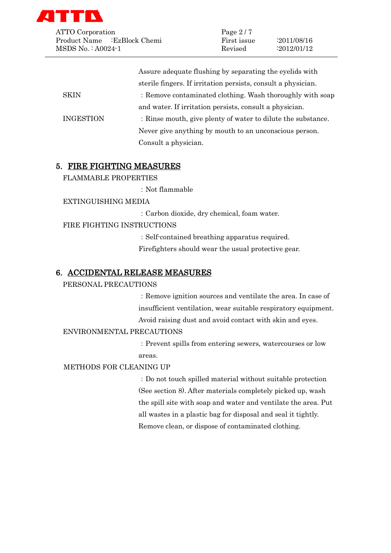

| ATTO Corporation             | Page $2/7$  |                    |  |
|------------------------------|-------------|--------------------|--|
| Product Name : EzBlock Chemi | First issue | $\cdot 2011/08/16$ |  |
| $MSDS No. : A0024-1$         | Revised     | $\cdot 2012/01/12$ |  |

|                  | Assure adequate flushing by separating the eyelids with       |
|------------------|---------------------------------------------------------------|
|                  | sterile fingers. If irritation persists, consult a physician. |
| <b>SKIN</b>      | : Remove contaminated clothing. Wash thoroughly with soap     |
|                  | and water. If irritation persists, consult a physician.       |
| <b>INGESTION</b> | : Rinse mouth, give plenty of water to dilute the substance.  |
|                  | Never give anything by mouth to an unconscious person.        |
|                  | Consult a physician.                                          |

#### 5. FIRE FIGHTING MEASURES

FLAMMABLE PROPERTIES

:Not flammable

EXTINGUISHING MEDIA

:Carbon dioxide, dry chemical, foam water.

#### FIRE FIGHTING INSTRUCTIONS

:Self-contained breathing apparatus required.

Firefighters should wear the usual protective gear.

#### 6. ACCIDENTAL RELEASE MEASURES

#### PERSONAL PRECAUTIONS

:Remove ignition sources and ventilate the area. In case of insufficient ventilation, wear suitable respiratory equipment. Avoid raising dust and avoid contact with skin and eyes.

#### ENVIRONMENTAL PRECAUTIONS

:Prevent spills from entering sewers, watercourses or low areas.

#### METHODS FOR CLEANING UP

:Do not touch spilled material without suitable protection (See section 8). After materials completely picked up, wash the spill site with soap and water and ventilate the area. Put all wastes in a plastic bag for disposal and seal it tightly. Remove clean, or dispose of contaminated clothing.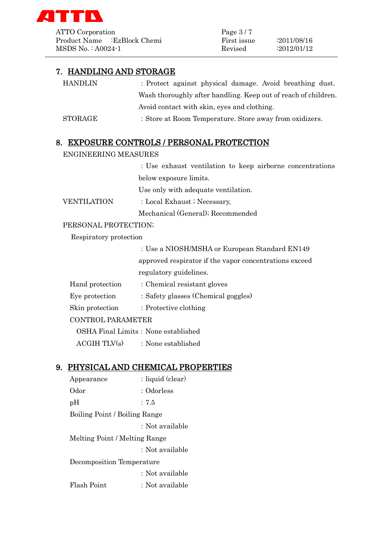

ATTO Corporation Page 3/7 Product Name :EzBlock Chemi First issue :2011/08/16 MSDS No. : A0024-1 Revised :2012/01/12

## 7. HANDLING AND STORAGE

| <b>HANDLIN</b> | : Protect against physical damage. Avoid breathing dust.       |
|----------------|----------------------------------------------------------------|
|                | Wash thoroughly after handling. Keep out of reach of children. |
|                | Avoid contact with skin, eyes and clothing.                    |
| <b>STORAGE</b> | : Store at Room Temperature. Store away from oxidizers.        |

### 8. EXPOSURE CONTROLS / PERSONAL PROTECTION

ENGINEERING MEASURES

:Use exhaust ventilation to keep airborne concentrations below exposure limits.

Use only with adequate ventilation.

VENTILATION : Local Exhaust ; Necessary,

Mechanical (General); Recommended

### PERSONAL PROTECTION;

Respiratory protection

|                 | : Use a NIOSH/MSHA or European Standard EN149          |
|-----------------|--------------------------------------------------------|
|                 | approved respirator if the vapor concentrations exceed |
|                 | regulatory guidelines.                                 |
| Hand protection | : Chemical resistant gloves                            |
| Eye protection  | : Safety glasses (Chemical goggles)                    |

Skin protection : Protective clothing

#### CONTROL PARAMETER

OSHA Final Limits: None established

 $ACGIH TIV(s)$  : None established

### 9. PHYSICAL AND CHEMICAL PROPERTIES

Appearance : liquid (clear) Odor : Odorless pH :7.5 Boiling Point / Boiling Range :Not available Melting Point / Melting Range :Not available Decomposition Temperature :Not available Flash Point : Not available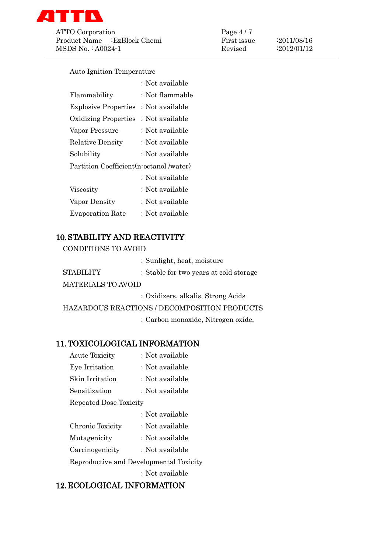

ATTO Corporation Page 4/7 Product Name :EzBlock Chemi First issue :2011/08/16 MSDS No. : A0024-1 Revised :2012/01/12

Auto Ignition Temperature

|                                          | : Not available |
|------------------------------------------|-----------------|
| Flammability                             | : Not flammable |
| <b>Explosive Properties</b>              | : Not available |
| <b>Oxidizing Properties</b>              | : Not available |
| Vapor Pressure                           | : Not available |
| <b>Relative Density</b>                  | : Not available |
| Solubility                               | : Not available |
| Partition Coefficient (n-octanol /water) |                 |
|                                          | : Not available |
| Viscosity                                | : Not available |
| Vapor Density                            | : Not available |
| <b>Evaporation Rate</b>                  | : Not available |

# 10.STABILITY AND REACTIVITY

CONDITIONS TO AVOID

|                           | : Sunlight, heat, moisture             |
|---------------------------|----------------------------------------|
| <b>STABILITY</b>          | : Stable for two years at cold storage |
| <b>MATERIALS TO AVOID</b> |                                        |

:Oxidizers, alkalis, Strong Acids

HAZARDOUS REACTIONS / DECOMPOSITION PRODUCTS

:Carbon monoxide, Nitrogen oxide,

## 11.TOXICOLOGICAL INFORMATION

Acute Toxicity : Not available Eye Irritation : Not available Skin Irritation : Not available Sensitization : Not available Repeated Dose Toxicity :Not available Chronic Toxicity : Not available Mutagenicity : Not available Carcinogenicity : Not available Reproductive and Developmental Toxicity :Not available

## 12.ECOLOGICAL INFORMATION